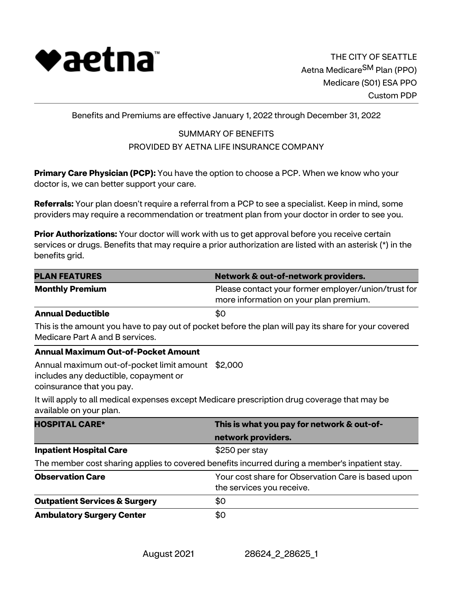

Benefits and Premiums are effective January 1, 2022 through December 31, 2022

# SUMMARY OF BENEFITS PROVIDED BY AETNA LIFE INSURANCE COMPANY

**Primary Care Physician (PCP):** You have the option to choose a PCP. When we know who your doctor is, we can better support your care.

**Referrals:** Your plan doesn't require a referral from a PCP to see a specialist. Keep in mind, some providers may require a recommendation or treatment plan from your doctor in order to see you.

**Prior Authorizations:** Your doctor will work with us to get approval before you receive certain services or drugs. Benefits that may require a prior authorization are listed with an asterisk (\*) in the benefits grid.

| <b>PLAN FEATURES</b>                                                                                                    | Network & out-of-network providers.                                                                  |  |  |
|-------------------------------------------------------------------------------------------------------------------------|------------------------------------------------------------------------------------------------------|--|--|
| <b>Monthly Premium</b>                                                                                                  | Please contact your former employer/union/trust for<br>more information on your plan premium.        |  |  |
| <b>Annual Deductible</b>                                                                                                | \$0                                                                                                  |  |  |
| Medicare Part A and B services.                                                                                         | This is the amount you have to pay out of pocket before the plan will pay its share for your covered |  |  |
| <b>Annual Maximum Out-of-Pocket Amount</b>                                                                              |                                                                                                      |  |  |
| Annual maximum out-of-pocket limit amount \$2,000<br>includes any deductible, copayment or<br>coinsurance that you pay. |                                                                                                      |  |  |
| available on your plan.                                                                                                 | It will apply to all medical expenses except Medicare prescription drug coverage that may be         |  |  |
| <b>HOSPITAL CARE*</b>                                                                                                   | This is what you pay for network & out-of-                                                           |  |  |
|                                                                                                                         | network providers.                                                                                   |  |  |
| <b>Inpatient Hospital Care</b>                                                                                          | \$250 per stay                                                                                       |  |  |
|                                                                                                                         | The member cost sharing applies to covered benefits incurred during a member's inpatient stay.       |  |  |
| <b>Observation Care</b>                                                                                                 | Your cost share for Observation Care is based upon<br>the services you receive.                      |  |  |
| <b>Outpatient Services &amp; Surgery</b>                                                                                | \$0                                                                                                  |  |  |
| <b>Ambulatory Surgery Center</b>                                                                                        | \$0                                                                                                  |  |  |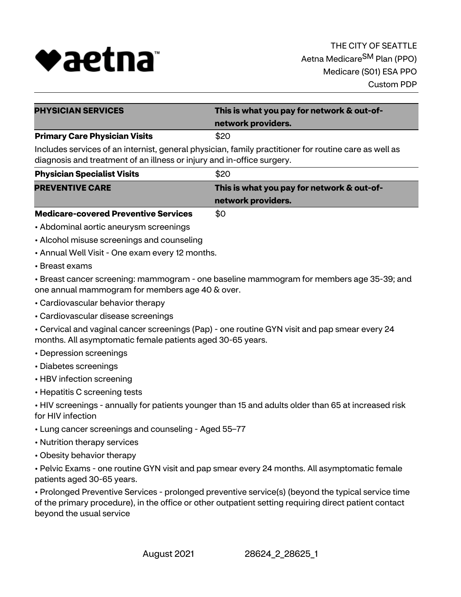

| <b>PHYSICIAN SERVICES</b>                                                                             | This is what you pay for network & out-of- |  |
|-------------------------------------------------------------------------------------------------------|--------------------------------------------|--|
|                                                                                                       | network providers.                         |  |
| <b>Primary Care Physician Visits</b>                                                                  | \$20                                       |  |
| Includes services of an internist, general physician, family practitioner for routine care as well as |                                            |  |

diagnosis and treatment of an illness or injury and in-office surgery.

| <b>Physician Specialist Visits</b>                                                                                                                                                                                                | \$20                                       |  |
|-----------------------------------------------------------------------------------------------------------------------------------------------------------------------------------------------------------------------------------|--------------------------------------------|--|
| <b>PREVENTIVE CARE</b>                                                                                                                                                                                                            | This is what you pay for network & out-of- |  |
|                                                                                                                                                                                                                                   | network providers.                         |  |
| $\mathbf{r}$ , and the contract of the contract of the contract of the contract of the contract of the contract of the contract of the contract of the contract of the contract of the contract of the contract of the contract o |                                            |  |

**Medicare-covered Preventive Services** \$0

- Abdominal aortic aneurysm screenings
- Alcohol misuse screenings and counseling
- Annual Well Visit One exam every 12 months.
- Breast exams

• Breast cancer screening: mammogram - one baseline mammogram for members age 35-39; and one annual mammogram for members age 40 & over.

- Cardiovascular behavior therapy
- Cardiovascular disease screenings

• Cervical and vaginal cancer screenings (Pap) - one routine GYN visit and pap smear every 24 months. All asymptomatic female patients aged 30-65 years.

- Depression screenings
- Diabetes screenings
- HBV infection screening
- Hepatitis C screening tests

• HIV screenings - annually for patients younger than 15 and adults older than 65 at increased risk for HIV infection

- Lung cancer screenings and counseling Aged 55–77
- Nutrition therapy services
- Obesity behavior therapy

• Pelvic Exams - one routine GYN visit and pap smear every 24 months. All asymptomatic female patients aged 30-65 years.

• Prolonged Preventive Services - prolonged preventive service(s) (beyond the typical service time of the primary procedure), in the office or other outpatient setting requiring direct patient contact beyond the usual service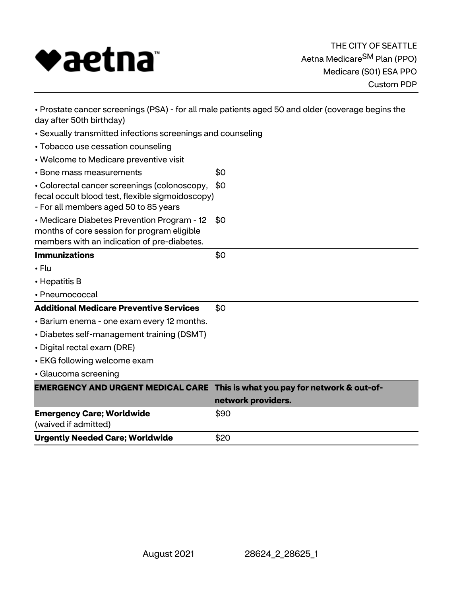

| • Prostate cancer screenings (PSA) - for all male patients aged 50 and older (coverage begins the<br>day after 50th birthday)             |                                            |  |  |
|-------------------------------------------------------------------------------------------------------------------------------------------|--------------------------------------------|--|--|
| • Sexually transmitted infections screenings and counseling                                                                               |                                            |  |  |
| • Tobacco use cessation counseling                                                                                                        |                                            |  |  |
| • Welcome to Medicare preventive visit                                                                                                    |                                            |  |  |
| • Bone mass measurements                                                                                                                  | \$0                                        |  |  |
| • Colorectal cancer screenings (colonoscopy,<br>fecal occult blood test, flexible sigmoidoscopy)<br>- For all members aged 50 to 85 years | \$0                                        |  |  |
| • Medicare Diabetes Prevention Program - 12<br>months of core session for program eligible<br>members with an indication of pre-diabetes. | \$0                                        |  |  |
| <b>Immunizations</b>                                                                                                                      | \$0                                        |  |  |
| $\cdot$ Flu                                                                                                                               |                                            |  |  |
| • Hepatitis B                                                                                                                             |                                            |  |  |
| • Pneumococcal                                                                                                                            |                                            |  |  |
| <b>Additional Medicare Preventive Services</b>                                                                                            | \$0                                        |  |  |
| • Barium enema - one exam every 12 months.                                                                                                |                                            |  |  |
| · Diabetes self-management training (DSMT)                                                                                                |                                            |  |  |
| • Digital rectal exam (DRE)                                                                                                               |                                            |  |  |
| • EKG following welcome exam                                                                                                              |                                            |  |  |
| · Glaucoma screening                                                                                                                      |                                            |  |  |
| <b>EMERGENCY AND URGENT MEDICAL CARE</b>                                                                                                  | This is what you pay for network & out-of- |  |  |
|                                                                                                                                           | network providers.                         |  |  |
| <b>Emergency Care; Worldwide</b><br>(waived if admitted)                                                                                  | \$90                                       |  |  |
| <b>Urgently Needed Care; Worldwide</b>                                                                                                    | \$20                                       |  |  |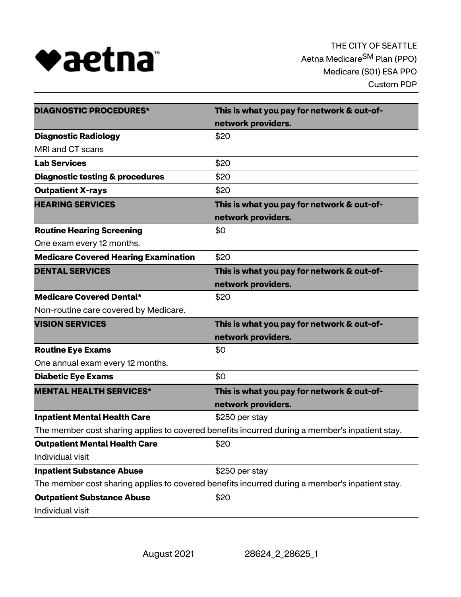

| <b>DIAGNOSTIC PROCEDURES*</b>                                                                  | This is what you pay for network & out-of- |  |
|------------------------------------------------------------------------------------------------|--------------------------------------------|--|
|                                                                                                | network providers.                         |  |
| <b>Diagnostic Radiology</b>                                                                    | \$20                                       |  |
| MRI and CT scans                                                                               |                                            |  |
| <b>Lab Services</b>                                                                            | \$20                                       |  |
| <b>Diagnostic testing &amp; procedures</b>                                                     | \$20                                       |  |
| <b>Outpatient X-rays</b>                                                                       | \$20                                       |  |
| <b>HEARING SERVICES</b>                                                                        | This is what you pay for network & out-of- |  |
|                                                                                                | network providers.                         |  |
| <b>Routine Hearing Screening</b>                                                               | \$0                                        |  |
| One exam every 12 months.                                                                      |                                            |  |
| <b>Medicare Covered Hearing Examination</b>                                                    | \$20                                       |  |
| <b>DENTAL SERVICES</b>                                                                         | This is what you pay for network & out-of- |  |
|                                                                                                | network providers.                         |  |
| <b>Medicare Covered Dental*</b>                                                                | \$20                                       |  |
| Non-routine care covered by Medicare.                                                          |                                            |  |
| <b>VISION SERVICES</b>                                                                         | This is what you pay for network & out-of- |  |
|                                                                                                | network providers.                         |  |
| <b>Routine Eye Exams</b>                                                                       | \$0                                        |  |
| One annual exam every 12 months.                                                               |                                            |  |
| <b>Diabetic Eye Exams</b>                                                                      | \$0                                        |  |
| <b>MENTAL HEALTH SERVICES*</b>                                                                 | This is what you pay for network & out-of- |  |
|                                                                                                | network providers.                         |  |
| <b>Inpatient Mental Health Care</b>                                                            | \$250 per stay                             |  |
| The member cost sharing applies to covered benefits incurred during a member's inpatient stay. |                                            |  |
| <b>Outpatient Mental Health Care</b>                                                           | \$20                                       |  |
| Individual visit                                                                               |                                            |  |
| <b>Inpatient Substance Abuse</b>                                                               | \$250 per stay                             |  |
| The member cost sharing applies to covered benefits incurred during a member's inpatient stay. |                                            |  |
| <b>Outpatient Substance Abuse</b>                                                              | \$20                                       |  |
| Individual visit                                                                               |                                            |  |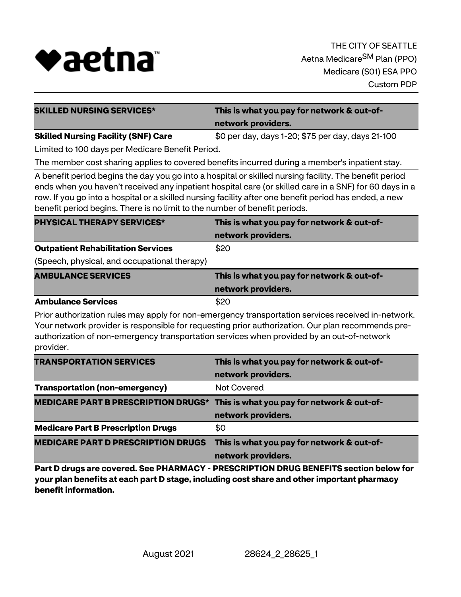

| <b>SKILLED NURSING SERVICES*</b>                                                                                                                                                                                                                                                                                                                                                                         | This is what you pay for network & out-of-                                                                                                                                                                                                                                                           |  |  |  |
|----------------------------------------------------------------------------------------------------------------------------------------------------------------------------------------------------------------------------------------------------------------------------------------------------------------------------------------------------------------------------------------------------------|------------------------------------------------------------------------------------------------------------------------------------------------------------------------------------------------------------------------------------------------------------------------------------------------------|--|--|--|
|                                                                                                                                                                                                                                                                                                                                                                                                          | network providers.                                                                                                                                                                                                                                                                                   |  |  |  |
| <b>Skilled Nursing Facility (SNF) Care</b>                                                                                                                                                                                                                                                                                                                                                               | \$0 per day, days 1-20; \$75 per day, days 21-100                                                                                                                                                                                                                                                    |  |  |  |
| Limited to 100 days per Medicare Benefit Period.                                                                                                                                                                                                                                                                                                                                                         |                                                                                                                                                                                                                                                                                                      |  |  |  |
|                                                                                                                                                                                                                                                                                                                                                                                                          | The member cost sharing applies to covered benefits incurred during a member's inpatient stay.                                                                                                                                                                                                       |  |  |  |
| A benefit period begins the day you go into a hospital or skilled nursing facility. The benefit period<br>ends when you haven't received any inpatient hospital care (or skilled care in a SNF) for 60 days in a<br>row. If you go into a hospital or a skilled nursing facility after one benefit period has ended, a new<br>benefit period begins. There is no limit to the number of benefit periods. |                                                                                                                                                                                                                                                                                                      |  |  |  |
| <b>PHYSICAL THERAPY SERVICES*</b>                                                                                                                                                                                                                                                                                                                                                                        | This is what you pay for network & out-of-                                                                                                                                                                                                                                                           |  |  |  |
|                                                                                                                                                                                                                                                                                                                                                                                                          | network providers.                                                                                                                                                                                                                                                                                   |  |  |  |
| <b>Outpatient Rehabilitation Services</b>                                                                                                                                                                                                                                                                                                                                                                | \$20                                                                                                                                                                                                                                                                                                 |  |  |  |
| (Speech, physical, and occupational therapy)                                                                                                                                                                                                                                                                                                                                                             |                                                                                                                                                                                                                                                                                                      |  |  |  |
| <b>AMBULANCE SERVICES</b>                                                                                                                                                                                                                                                                                                                                                                                | This is what you pay for network & out-of-                                                                                                                                                                                                                                                           |  |  |  |
|                                                                                                                                                                                                                                                                                                                                                                                                          | network providers.                                                                                                                                                                                                                                                                                   |  |  |  |
| <b>Ambulance Services</b>                                                                                                                                                                                                                                                                                                                                                                                | \$20                                                                                                                                                                                                                                                                                                 |  |  |  |
| provider.                                                                                                                                                                                                                                                                                                                                                                                                | Prior authorization rules may apply for non-emergency transportation services received in-network.<br>Your network provider is responsible for requesting prior authorization. Our plan recommends pre-<br>authorization of non-emergency transportation services when provided by an out-of-network |  |  |  |

| <b>TRANSPORTATION SERVICES</b>                                                 | This is what you pay for network & out-of-<br>network providers. |
|--------------------------------------------------------------------------------|------------------------------------------------------------------|
| <b>Transportation (non-emergency)</b>                                          | <b>Not Covered</b>                                               |
| MEDICARE PART B PRESCRIPTION DRUGS* This is what you pay for network & out-of- |                                                                  |
|                                                                                | network providers.                                               |
| <b>Medicare Part B Prescription Drugs</b>                                      | \$0                                                              |
| <b>MEDICARE PART D PRESCRIPTION DRUGS</b>                                      | This is what you pay for network & out-of-<br>network providers. |

**Part D drugs are covered. See PHARMACY - PRESCRIPTION DRUG BENEFITS section below for your plan benefits at each part D stage, including cost share and other important pharmacy benefit information.**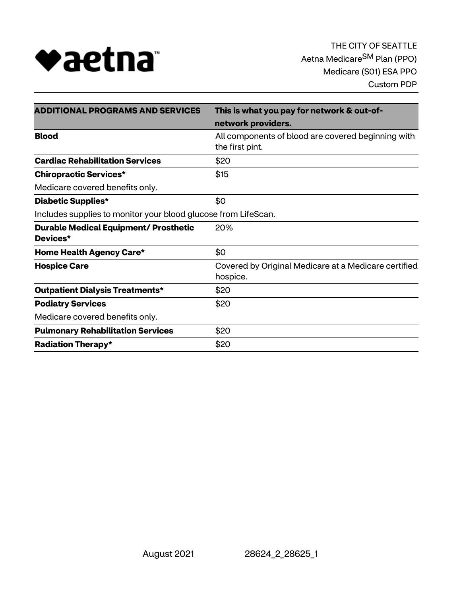

| <b>ADDITIONAL PROGRAMS AND SERVICES</b>                        | This is what you pay for network & out-of-                            |  |
|----------------------------------------------------------------|-----------------------------------------------------------------------|--|
|                                                                | network providers.                                                    |  |
| <b>Blood</b>                                                   | All components of blood are covered beginning with<br>the first pint. |  |
| <b>Cardiac Rehabilitation Services</b>                         | \$20                                                                  |  |
| <b>Chiropractic Services*</b>                                  | \$15                                                                  |  |
| Medicare covered benefits only.                                |                                                                       |  |
| \$0<br><b>Diabetic Supplies*</b>                               |                                                                       |  |
| Includes supplies to monitor your blood glucose from LifeScan. |                                                                       |  |
| <b>Durable Medical Equipment/ Prosthetic</b>                   | 20%                                                                   |  |
| Devices*                                                       |                                                                       |  |
| Home Health Agency Care*                                       | \$0                                                                   |  |
| <b>Hospice Care</b>                                            | Covered by Original Medicare at a Medicare certified                  |  |
|                                                                | hospice.                                                              |  |
| <b>Outpatient Dialysis Treatments*</b>                         | \$20                                                                  |  |
| <b>Podiatry Services</b>                                       | \$20                                                                  |  |
| Medicare covered benefits only.                                |                                                                       |  |
| <b>Pulmonary Rehabilitation Services</b>                       | \$20                                                                  |  |
| <b>Radiation Therapy*</b>                                      | \$20                                                                  |  |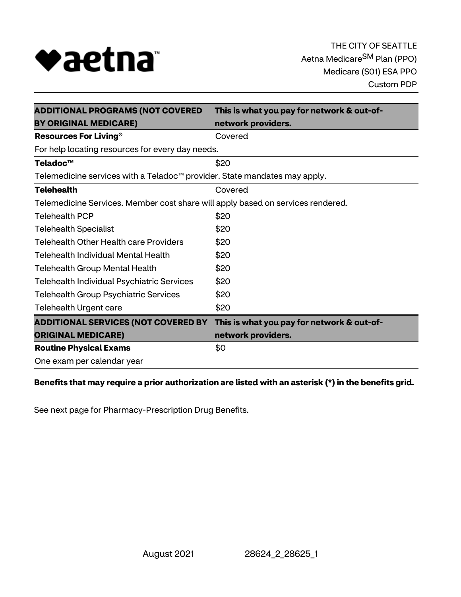

| <b>ADDITIONAL PROGRAMS (NOT COVERED</b>                                         | This is what you pay for network & out-of- |  |  |
|---------------------------------------------------------------------------------|--------------------------------------------|--|--|
| <b>BY ORIGINAL MEDICARE)</b>                                                    | network providers.                         |  |  |
| <b>Resources For Living®</b>                                                    | Covered                                    |  |  |
| For help locating resources for every day needs.                                |                                            |  |  |
| Teladoc™                                                                        | \$20                                       |  |  |
| Telemedicine services with a Teladoc™ provider. State mandates may apply.       |                                            |  |  |
| <b>Telehealth</b>                                                               | Covered                                    |  |  |
| Telemedicine Services. Member cost share will apply based on services rendered. |                                            |  |  |
| <b>Telehealth PCP</b>                                                           | \$20                                       |  |  |
| <b>Telehealth Specialist</b>                                                    | \$20                                       |  |  |
| <b>Telehealth Other Health care Providers</b>                                   | \$20                                       |  |  |
| Telehealth Individual Mental Health                                             | \$20                                       |  |  |
| <b>Telehealth Group Mental Health</b>                                           | \$20                                       |  |  |
| Telehealth Individual Psychiatric Services                                      | \$20                                       |  |  |
| <b>Telehealth Group Psychiatric Services</b>                                    | \$20                                       |  |  |
| <b>Telehealth Urgent care</b>                                                   | \$20                                       |  |  |
| <b>ADDITIONAL SERVICES (NOT COVERED BY</b>                                      | This is what you pay for network & out-of- |  |  |
| <b>ORIGINAL MEDICARE)</b>                                                       | network providers.                         |  |  |
| <b>Routine Physical Exams</b>                                                   | \$0                                        |  |  |
| One exam per calendar year                                                      |                                            |  |  |

# **Benefits that may require a prior authorization are listed with an asterisk (\*) in the benefits grid.**

See next page for Pharmacy-Prescription Drug Benefits.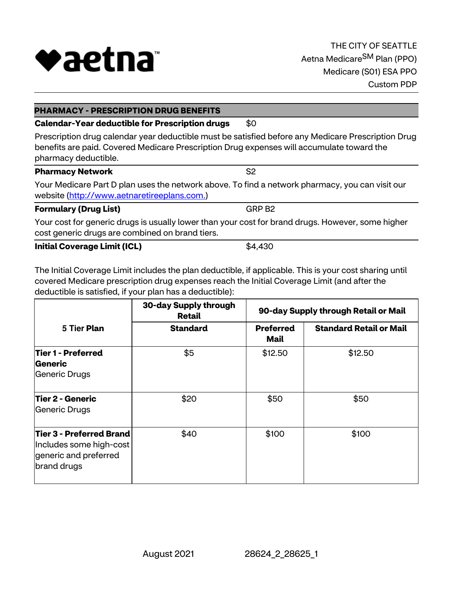

### **PHARMACY - PRESCRIPTION DRUG BENEFITS**

# **Calendar-Year deductible for Prescription drugs \$0**

Prescription drug calendar year deductible must be satisfied before any Medicare Prescription Drug benefits are paid. Covered Medicare Prescription Drug expenses will accumulate toward the pharmacy deductible.

| <b>Pharmacy Network</b>                                                                         | S2 |
|-------------------------------------------------------------------------------------------------|----|
| Your Medicare Part D plan uses the network above. To find a network pharmacy, you can visit our |    |
| website (http://www.aetnaretireeplans.com.)                                                     |    |

### **Formulary (Drug List)** GRP B2

Your cost for generic drugs is usually lower than your cost for brand drugs. However, some higher cost generic drugs are combined on brand tiers.

### **Initial Coverage Limit (ICL)** \$4,430

The Initial Coverage Limit includes the plan deductible, if applicable. This is your cost sharing until covered Medicare prescription drug expenses reach the Initial Coverage Limit (and after the deductible is satisfied, if your plan has a deductible):

|                                                                                             | 30-day Supply through<br><b>Retail</b> |                          | 90-day Supply through Retail or Mail |  |
|---------------------------------------------------------------------------------------------|----------------------------------------|--------------------------|--------------------------------------|--|
| 5 Tier Plan                                                                                 | <b>Standard</b>                        | <b>Preferred</b><br>Mail | <b>Standard Retail or Mail</b>       |  |
| Tier 1 - Preferred<br>Generic<br>Generic Drugs                                              | \$5                                    | \$12.50                  | \$12.50                              |  |
| <b>Tier 2 - Generic</b><br>Generic Drugs                                                    | \$20                                   | \$50                     | \$50                                 |  |
| Tier 3 - Preferred Brand<br>Includes some high-cost<br>generic and preferred<br>brand drugs | \$40                                   | \$100                    | \$100                                |  |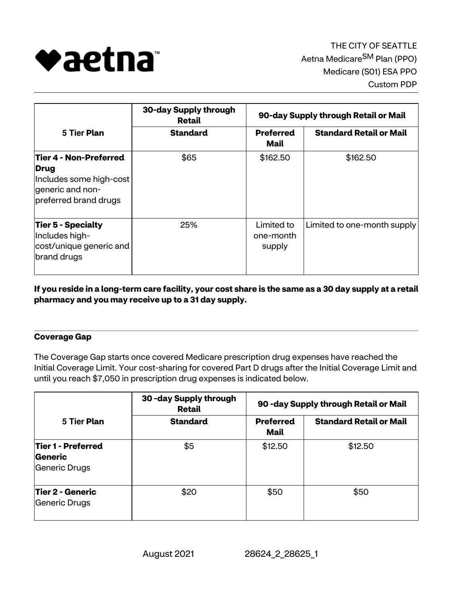

|                                                                                                               | 30-day Supply through<br>Retail | 90-day Supply through Retail or Mail |                                |  |
|---------------------------------------------------------------------------------------------------------------|---------------------------------|--------------------------------------|--------------------------------|--|
| 5 Tier Plan                                                                                                   | <b>Standard</b>                 | <b>Preferred</b><br>Mail             | <b>Standard Retail or Mail</b> |  |
| Tier 4 - Non-Preferred<br><b>Drug</b><br>Includes some high-cost<br>generic and non-<br>preferred brand drugs | \$65                            | \$162.50                             | \$162.50                       |  |
| Tier 5 - Specialty<br>Includes high-<br>cost/unique generic and<br>brand drugs                                | 25%                             | Limited to<br>one-month<br>supply    | Limited to one-month supply    |  |

**If you reside in a long-term care facility, your cost share is the same as a 30 day supply at a retail pharmacy and you may receive up to a 31 day supply.**

# **Coverage Gap**

The Coverage Gap starts once covered Medicare prescription drug expenses have reached the Initial Coverage Limit. Your cost-sharing for covered Part D drugs after the Initial Coverage Limit and until you reach \$7,050 in prescription drug expenses is indicated below.

| 5 Tier Plan                                           | 30 - day Supply through<br><b>Retail</b><br><b>Standard</b> | 90 - day Supply through Retail or Mail |                                |
|-------------------------------------------------------|-------------------------------------------------------------|----------------------------------------|--------------------------------|
|                                                       |                                                             | <b>Preferred</b><br>Mail               | <b>Standard Retail or Mail</b> |
| Tier 1 - Preferred<br><b>Generic</b><br>Generic Drugs | \$5                                                         | \$12.50                                | \$12.50                        |
| Tier 2 - Generic<br>Generic Drugs                     | \$20                                                        | \$50                                   | \$50                           |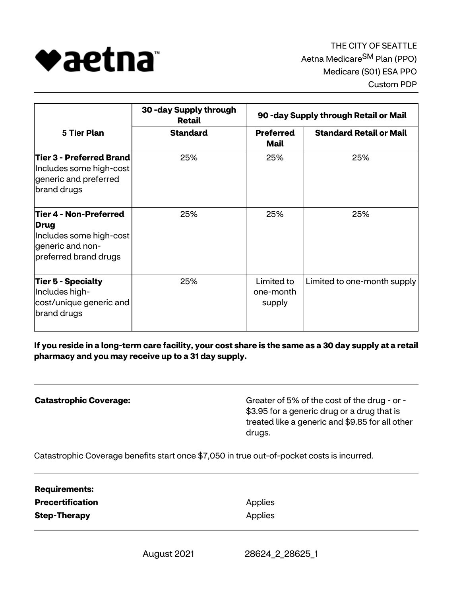

| 5 Tier Plan                                                                                            | 30 - day Supply through<br>Retail<br><b>Standard</b> | 90 - day Supply through Retail or Mail |                                |
|--------------------------------------------------------------------------------------------------------|------------------------------------------------------|----------------------------------------|--------------------------------|
|                                                                                                        |                                                      | <b>Preferred</b><br>Mail               | <b>Standard Retail or Mail</b> |
| Tier 3 - Preferred Brand<br>Includes some high-cost<br>generic and preferred<br>brand drugs            | 25%                                                  | 25%                                    | 25%                            |
| Tier 4 - Non-Preferred<br>Drug<br>Includes some high-cost<br>generic and non-<br>preferred brand drugs | 25%                                                  | 25%                                    | 25%                            |
| Tier 5 - Specialty<br>Includes high-<br>cost/unique generic and<br>brand drugs                         | 25%                                                  | Limited to<br>one-month<br>supply      | Limited to one-month supply    |

**If you reside in a long-term care facility, your cost share is the same as a 30 day supply at a retail pharmacy and you may receive up to a 31 day supply.**

**Catastrophic Coverage:** Greater of 5% of the cost of the drug - or -\$3.95 for a generic drug or a drug that is treated like a generic and \$9.85 for all other drugs.

Catastrophic Coverage benefits start once \$7,050 in true out-of-pocket costs is incurred.

**Requirements: Precertification Applies Step-Therapy** Applies

August 2021 28624\_2\_28625\_1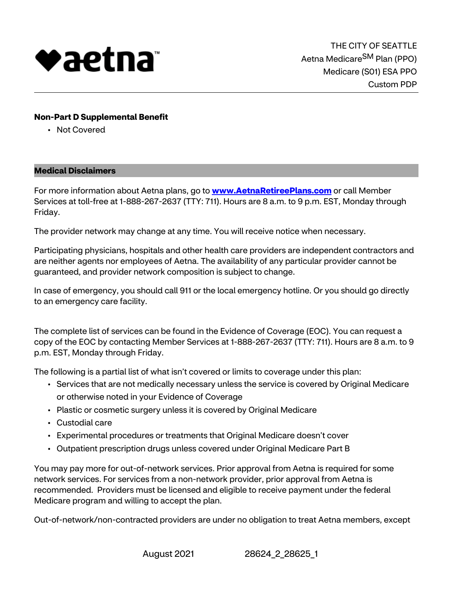

## **Non-Part D Supplemental Benefit**

• Not Covered

### **Medical Disclaimers**

For more information about Aetna plans, go to **<www.AetnaRetireePlans.com>** or call Member Services at toll-free at 1-888-267-2637 (TTY: 711). Hours are 8 a.m. to 9 p.m. EST, Monday through Friday.

The provider network may change at any time. You will receive notice when necessary.

Participating physicians, hospitals and other health care providers are independent contractors and are neither agents nor employees of Aetna. The availability of any particular provider cannot be guaranteed, and provider network composition is subject to change.

In case of emergency, you should call 911 or the local emergency hotline. Or you should go directly to an emergency care facility.

The complete list of services can be found in the Evidence of Coverage (EOC). You can request a copy of the EOC by contacting Member Services at 1-888-267-2637 (TTY: 711). Hours are 8 a.m. to 9 p.m. EST, Monday through Friday.

The following is a partial list of what isn't covered or limits to coverage under this plan:

- Services that are not medically necessary unless the service is covered by Original Medicare or otherwise noted in your Evidence of Coverage
- Plastic or cosmetic surgery unless it is covered by Original Medicare
- Custodial care
- Experimental procedures or treatments that Original Medicare doesn't cover
- Outpatient prescription drugs unless covered under Original Medicare Part B

You may pay more for out-of-network services. Prior approval from Aetna is required for some network services. For services from a non-network provider, prior approval from Aetna is recommended. Providers must be licensed and eligible to receive payment under the federal Medicare program and willing to accept the plan.

Out-of-network/non-contracted providers are under no obligation to treat Aetna members, except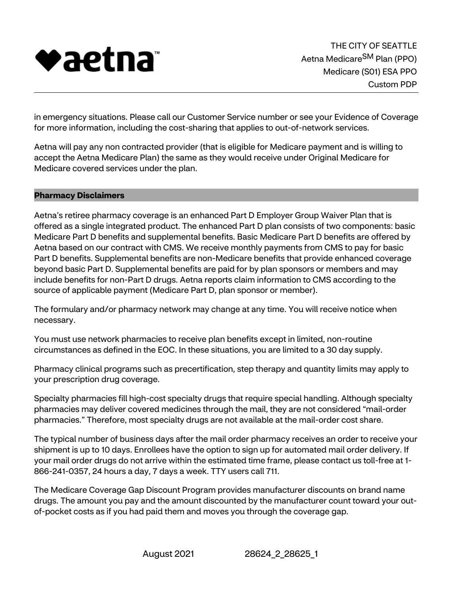

in emergency situations. Please call our Customer Service number or see your Evidence of Coverage for more information, including the cost-sharing that applies to out-of-network services.

Aetna will pay any non contracted provider (that is eligible for Medicare payment and is willing to accept the Aetna Medicare Plan) the same as they would receive under Original Medicare for Medicare covered services under the plan.

### **Pharmacy Disclaimers**

Aetna's retiree pharmacy coverage is an enhanced Part D Employer Group Waiver Plan that is offered as a single integrated product. The enhanced Part D plan consists of two components: basic Medicare Part D benefits and supplemental benefits. Basic Medicare Part D benefits are offered by Aetna based on our contract with CMS. We receive monthly payments from CMS to pay for basic Part D benefits. Supplemental benefits are non-Medicare benefits that provide enhanced coverage beyond basic Part D. Supplemental benefits are paid for by plan sponsors or members and may include benefits for non-Part D drugs. Aetna reports claim information to CMS according to the source of applicable payment (Medicare Part D, plan sponsor or member).

The formulary and/or pharmacy network may change at any time. You will receive notice when necessary.

You must use network pharmacies to receive plan benefits except in limited, non-routine circumstances as defined in the EOC. In these situations, you are limited to a 30 day supply.

Pharmacy clinical programs such as precertification, step therapy and quantity limits may apply to your prescription drug coverage.

Specialty pharmacies fill high-cost specialty drugs that require special handling. Although specialty pharmacies may deliver covered medicines through the mail, they are not considered "mail-order pharmacies." Therefore, most specialty drugs are not available at the mail-order cost share.

The typical number of business days after the mail order pharmacy receives an order to receive your shipment is up to 10 days. Enrollees have the option to sign up for automated mail order delivery. If your mail order drugs do not arrive within the estimated time frame, please contact us toll-free at 1- 866-241-0357, 24 hours a day, 7 days a week. TTY users call 711.

The Medicare Coverage Gap Discount Program provides manufacturer discounts on brand name drugs. The amount you pay and the amount discounted by the manufacturer count toward your outof-pocket costs as if you had paid them and moves you through the coverage gap.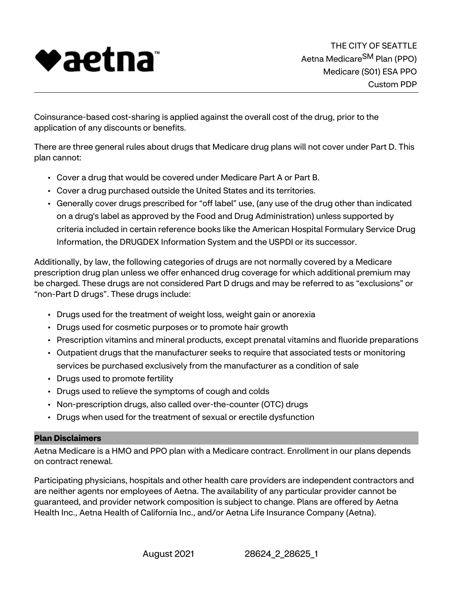

Coinsurance-based cost-sharing is applied against the overall cost of the drug, prior to the application of any discounts or benefits.

There are three general rules about drugs that Medicare drug plans will not cover under Part D. This plan cannot:

- Cover a drug that would be covered under Medicare Part A or Part B.
- Cover a drug purchased outside the United States and its territories.
- Generally cover drugs prescribed for "off label" use, (any use of the drug other than indicated on a drug's label as approved by the Food and Drug Administration) unless supported by criteria included in certain reference books like the American Hospital Formulary Service Drug Information, the DRUGDEX Information System and the USPDI or its successor.

Additionally, by law, the following categories of drugs are not normally covered by a Medicare prescription drug plan unless we offer enhanced drug coverage for which additional premium may be charged. These drugs are not considered Part D drugs and may be referred to as "exclusions" or "non-Part D drugs". These drugs include:

- Drugs used for the treatment of weight loss, weight gain or anorexia
- Drugs used for cosmetic purposes or to promote hair growth
- Prescription vitamins and mineral products, except prenatal vitamins and fluoride preparations
- Outpatient drugs that the manufacturer seeks to require that associated tests or monitoring services be purchased exclusively from the manufacturer as a condition of sale
- Drugs used to promote fertility
- Drugs used to relieve the symptoms of cough and colds
- Non-prescription drugs, also called over-the-counter (OTC) drugs
- Drugs when used for the treatment of sexual or erectile dysfunction

# **Plan Disclaimers**

Aetna Medicare is a HMO and PPO plan with a Medicare contract. Enrollment in our plans depends on contract renewal.

Participating physicians, hospitals and other health care providers are independent contractors and are neither agents nor employees of Aetna. The availability of any particular provider cannot be guaranteed, and provider network composition is subject to change. Plans are offered by Aetna Health Inc., Aetna Health of California Inc., and/or Aetna Life Insurance Company (Aetna).